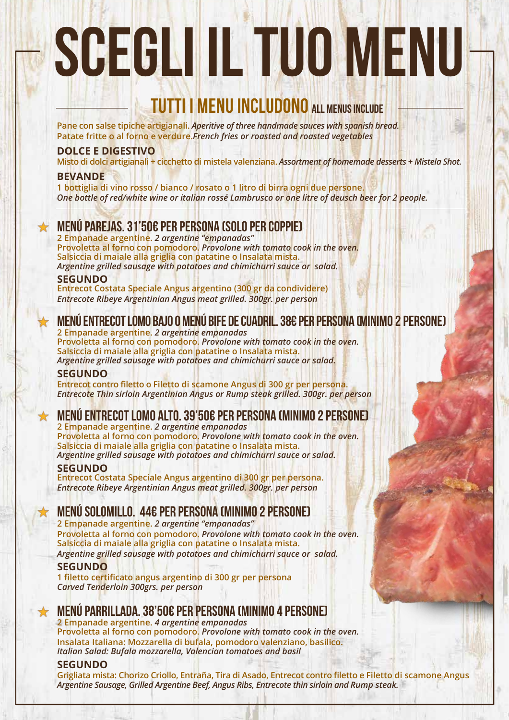# SCEGLI IL TUO MENU

# **UTTI I MENU INCLUDONO ALL MENUS INCLUDE**

**Pane con salse tipiche artigianali.** *Aperitive of three handmade sauces with spanish bread.* **Patate fritte o al forno e verdure.***French fries or roasted and roasted vegetables* 

### **DOLCE E DIGESTIVO**

**Misto di dolci artigianali + cicchetto di mistela valenziana.** *Assortment of homemade desserts + Mistela Shot.*

#### **BEVANDE**

**1 bottiglia di vino rosso / bianco / rosato o 1 litro di birra ogni due persone.** *One bottle of red/white wine or italian rossé Lambrusco or one litre of deusch beer for 2 people.*

# MENÚ PAREJAS. 31'50€ pEr persona (SOLO PER COPPIE)

**2 Empanade argentine.** *2 argentine "empanadas"* **Provoletta al forno con pomodoro.** *Provolone with tomato cook in the oven.* **Salsiccia di maiale alla griglia con patatine o Insalata mista.** *Argentine grilled sausage with potatoes and chimichurri sauce or salad.*

#### **SEGUNDO**

**Entrecot Costata Speciale Angus argentino (300 gr da condividere)**  *Entrecote Ribeye Argentinian Angus meat grilled. 300gr. per person*

# MENÚ ENTRECOT LOMO BAJO O MENÚ BIFE DE CUADRIL. 38€ pEr persona (MINIMO 2 PERSONE)

**2 Empanade argentine.** *2 argentine empanadas* **Provoletta al forno con pomodoro.** *Provolone with tomato cook in the oven.* **Salsiccia di maiale alla griglia con patatine o Insalata mista.** *Argentine grilled sausage with potatoes and chimichurri sauce or salad.*

#### **SEGUNDO**

**Entrecot contro filetto o Filetto di scamone Angus di 300 gr per persona.** *Entrecote Thin sirloin Argentinian Angus or Rump steak grilled. 300gr. per person*

# MENÚ ENTRECOT LOMO ALTO. 39'50€ pEr persona (MINIMO 2 PERSONE)

**2 Empanade argentine.** *2 argentine empanadas* **Provoletta al forno con pomodoro.** *Provolone with tomato cook in the oven.* **Salsiccia di maiale alla griglia con patatine o Insalata mista.** *Argentine grilled sausage with potatoes and chimichurri sauce or salad.*

#### **SEGUNDO**

**Entrecot Costata Speciale Angus argentino di 300 gr per persona.** *Entrecote Ribeye Argentinian Angus meat grilled. 300gr. per person*

# MENÚ SOLOMILLO. 44€ pEr persona (MINIMO 2 PERSONE)

**2 Empanade argentine.** *2 argentine "empanadas"* **Provoletta al forno con pomodoro.** *Provolone with tomato cook in the oven.* **Salsiccia di maiale alla griglia con patatine o Insalata mista.** *Argentine grilled sausage with potatoes and chimichurri sauce or salad.*

#### **SEGUNDO**

**1 filetto certificato angus argentino di 300 gr per persona** *Carved Tenderloin 300grs. per person*

## MENÚ PARRILLADA. 38'50€ pEr persona (MINIMO 4 PERSONE)

**2 Empanade argentine.** *4 argentine empanadas* **Provoletta al forno con pomodoro.** *Provolone with tomato cook in the oven.* **Insalata Italiana: Mozzarella di bufala, pomodoro valenziano, basilico.** *Italian Salad: Bufala mozzarella, Valencian tomatoes and basil*

#### **SEGUNDO**

**Grigliata mista: Chorizo Criollo, Entraña, Tira di Asado, Entrecot contro filetto e Filetto di scamone Angus** *Argentine Sausage, Grilled Argentine Beef, Angus Ribs, Entrecote thin sirloin and Rump steak.*